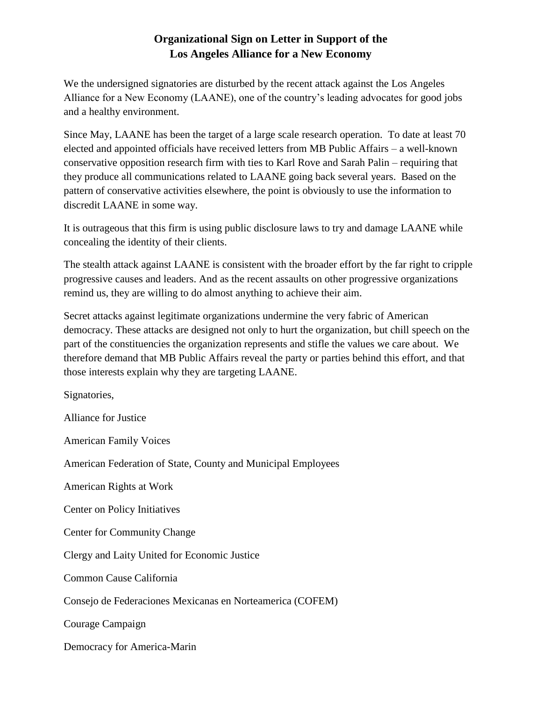## **Organizational Sign on Letter in Support of the Los Angeles Alliance for a New Economy**

We the undersigned signatories are disturbed by the recent attack against the Los Angeles Alliance for a New Economy (LAANE), one of the country's leading advocates for good jobs and a healthy environment.

Since May, LAANE has been the target of a large scale research operation. To date at least 70 elected and appointed officials have received letters from MB Public Affairs – a well-known conservative opposition research firm with ties to Karl Rove and Sarah Palin – requiring that they produce all communications related to LAANE going back several years. Based on the pattern of conservative activities elsewhere, the point is obviously to use the information to discredit LAANE in some way.

It is outrageous that this firm is using public disclosure laws to try and damage LAANE while concealing the identity of their clients.

The stealth attack against LAANE is consistent with the broader effort by the far right to cripple progressive causes and leaders. And as the recent assaults on other progressive organizations remind us, they are willing to do almost anything to achieve their aim.

Secret attacks against legitimate organizations undermine the very fabric of American democracy. These attacks are designed not only to hurt the organization, but chill speech on the part of the constituencies the organization represents and stifle the values we care about. We therefore demand that MB Public Affairs reveal the party or parties behind this effort, and that those interests explain why they are targeting LAANE.

Signatories,

Alliance for Justice

American Family Voices

American Federation of State, County and Municipal Employees

American Rights at Work

Center on Policy Initiatives

Center for Community Change

Clergy and Laity United for Economic Justice

Common Cause California

Consejo de Federaciones Mexicanas en Norteamerica (COFEM)

Courage Campaign

Democracy for America-Marin